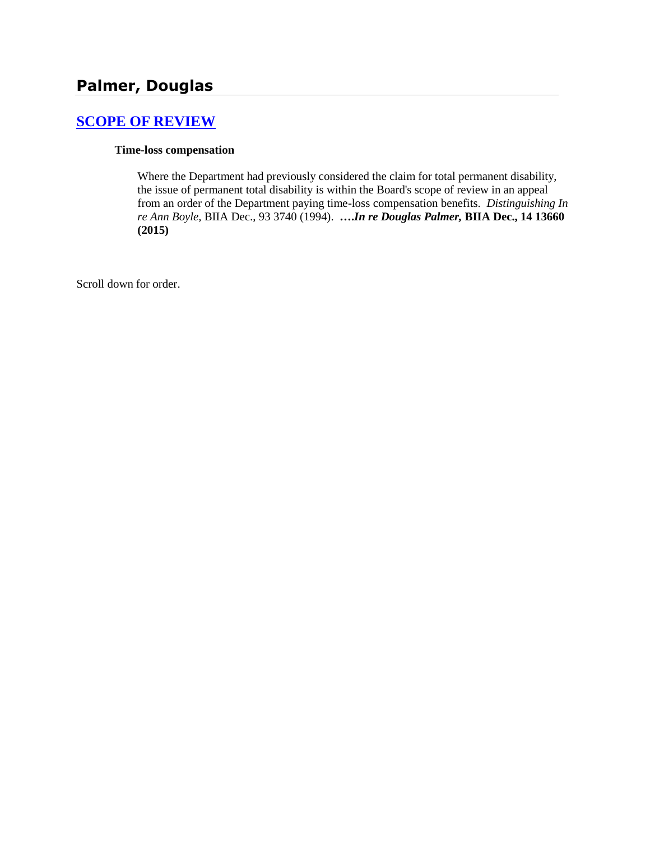# **[SCOPE OF REVIEW](http://www.biia.wa.gov/SDSubjectIndex.html#SCOPE_OF_REVIEW)**

### **Time-loss compensation**

Where the Department had previously considered the claim for total permanent disability, the issue of permanent total disability is within the Board's scope of review in an appeal from an order of the Department paying time-loss compensation benefits. *Distinguishing In re Ann Boyle,* BIIA Dec., 93 3740 (1994). **….***In re Douglas Palmer,* **BIIA Dec., 14 13660 (2015)**

Scroll down for order.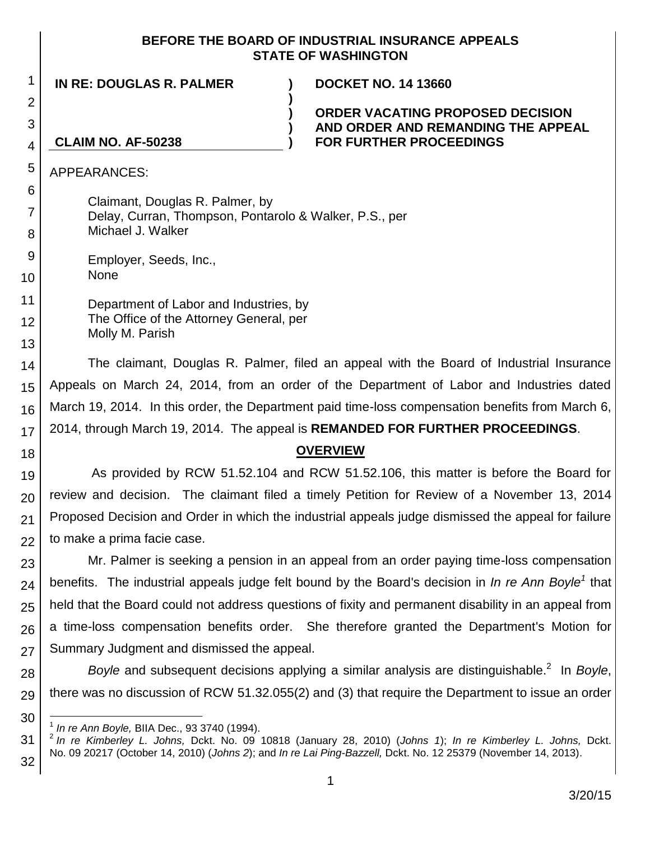### **BEFORE THE BOARD OF INDUSTRIAL INSURANCE APPEALS STATE OF WASHINGTON**

**)**

**) ) )**

**IN RE: DOUGLAS R. PALMER ) DOCKET NO. 14 13660**

**ORDER VACATING PROPOSED DECISION AND ORDER AND REMANDING THE APPEAL FOR FURTHER PROCEEDINGS**

#### 4 **CLAIM NO. AF-50238**

APPEARANCES:

Claimant, Douglas R. Palmer, by Delay, Curran, Thompson, Pontarolo & Walker, P.S., per Michael J. Walker

9 Employer, Seeds, Inc., None

10

1

2

3

5

6

7

8

11

12

13

Department of Labor and Industries, by The Office of the Attorney General, per Molly M. Parish

14 15 16 17 The claimant, Douglas R. Palmer, filed an appeal with the Board of Industrial Insurance Appeals on March 24, 2014, from an order of the Department of Labor and Industries dated March 19, 2014. In this order, the Department paid time-loss compensation benefits from March 6, 2014, through March 19, 2014. The appeal is **REMANDED FOR FURTHER PROCEEDINGS**.

18

# **OVERVIEW**

19 20 21 22 As provided by RCW 51.52.104 and RCW 51.52.106, this matter is before the Board for review and decision. The claimant filed a timely Petition for Review of a November 13, 2014 Proposed Decision and Order in which the industrial appeals judge dismissed the appeal for failure to make a prima facie case.

23 24 25 26 27 Mr. Palmer is seeking a pension in an appeal from an order paying time-loss compensation benefits. The industrial appeals judge felt bound by the Board's decision in *In re Ann Boyle<sup>1</sup>* that held that the Board could not address questions of fixity and permanent disability in an appeal from a time-loss compensation benefits order. She therefore granted the Department's Motion for Summary Judgment and dismissed the appeal.

28 29 Boyle and subsequent decisions applying a similar analysis are distinguishable.<sup>2</sup> In Boyle, there was no discussion of RCW 51.32.055(2) and (3) that require the Department to issue an order

<sup>30</sup> l 1 *In re Ann Boyle,* BIIA Dec., 93 3740 (1994).

<sup>31</sup> 32 2 *In re Kimberley L. Johns,* Dckt. No. 09 10818 (January 28, 2010) (*Johns 1*); *In re Kimberley L. Johns,* Dckt. No. 09 20217 (October 14, 2010) (*Johns 2*); and *In re Lai Ping-Bazzell,* Dckt. No. 12 25379 (November 14, 2013).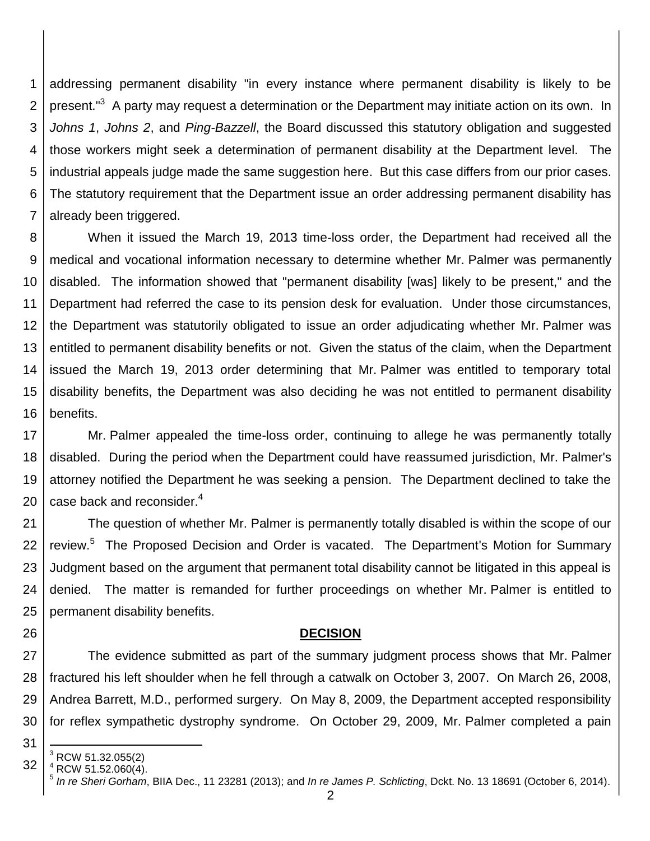1 2 3 4 5 6 7 addressing permanent disability "in every instance where permanent disability is likely to be present."<sup>3</sup> A party may request a determination or the Department may initiate action on its own. In *Johns 1*, *Johns 2*, and *Ping-Bazzell*, the Board discussed this statutory obligation and suggested those workers might seek a determination of permanent disability at the Department level. The industrial appeals judge made the same suggestion here. But this case differs from our prior cases. The statutory requirement that the Department issue an order addressing permanent disability has already been triggered.

8 9 10 11 12 13 14 15 16 When it issued the March 19, 2013 time-loss order, the Department had received all the medical and vocational information necessary to determine whether Mr. Palmer was permanently disabled. The information showed that "permanent disability [was] likely to be present," and the Department had referred the case to its pension desk for evaluation. Under those circumstances, the Department was statutorily obligated to issue an order adjudicating whether Mr. Palmer was entitled to permanent disability benefits or not. Given the status of the claim, when the Department issued the March 19, 2013 order determining that Mr. Palmer was entitled to temporary total disability benefits, the Department was also deciding he was not entitled to permanent disability benefits.

17 18 19 20 Mr. Palmer appealed the time-loss order, continuing to allege he was permanently totally disabled. During the period when the Department could have reassumed jurisdiction, Mr. Palmer's attorney notified the Department he was seeking a pension. The Department declined to take the case back and reconsider. $4$ 

21 22 23 24 25 The question of whether Mr. Palmer is permanently totally disabled is within the scope of our review.<sup>5</sup> The Proposed Decision and Order is vacated. The Department's Motion for Summary Judgment based on the argument that permanent total disability cannot be litigated in this appeal is denied. The matter is remanded for further proceedings on whether Mr. Palmer is entitled to permanent disability benefits.

### **DECISION**

27 28 29 30 The evidence submitted as part of the summary judgment process shows that Mr. Palmer fractured his left shoulder when he fell through a catwalk on October 3, 2007. On March 26, 2008, Andrea Barrett, M.D., performed surgery. On May 8, 2009, the Department accepted responsibility for reflex sympathetic dystrophy syndrome. On October 29, 2009, Mr. Palmer completed a pain

31

l

26

<sup>32</sup>  $3$  RCW 51.32.055(2)

 $RCW 51.52.060(4)$ .

<sup>5</sup> *In re Sheri Gorham*, BIIA Dec., 11 23281 (2013); and *In re James P. Schlicting*, Dckt. No. 13 18691 (October 6, 2014).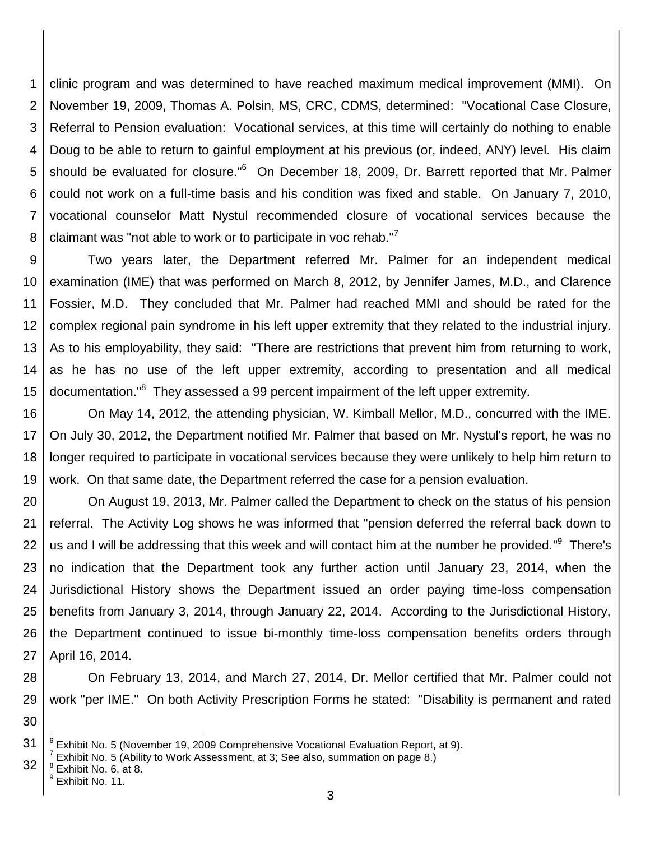1 2 3 4 5 6 7 8 clinic program and was determined to have reached maximum medical improvement (MMI). On November 19, 2009, Thomas A. Polsin, MS, CRC, CDMS, determined: "Vocational Case Closure, Referral to Pension evaluation: Vocational services, at this time will certainly do nothing to enable Doug to be able to return to gainful employment at his previous (or, indeed, ANY) level. His claim should be evaluated for closure."<sup>6</sup> On December 18, 2009, Dr. Barrett reported that Mr. Palmer could not work on a full-time basis and his condition was fixed and stable. On January 7, 2010, vocational counselor Matt Nystul recommended closure of vocational services because the claimant was "not able to work or to participate in voc rehab."<sup>7</sup>

9 10 11 12 13 14 15 Two years later, the Department referred Mr. Palmer for an independent medical examination (IME) that was performed on March 8, 2012, by Jennifer James, M.D., and Clarence Fossier, M.D. They concluded that Mr. Palmer had reached MMI and should be rated for the complex regional pain syndrome in his left upper extremity that they related to the industrial injury. As to his employability, they said: "There are restrictions that prevent him from returning to work, as he has no use of the left upper extremity, according to presentation and all medical documentation."<sup>8</sup> They assessed a 99 percent impairment of the left upper extremity.

16 17 18 19 On May 14, 2012, the attending physician, W. Kimball Mellor, M.D., concurred with the IME. On July 30, 2012, the Department notified Mr. Palmer that based on Mr. Nystul's report, he was no longer required to participate in vocational services because they were unlikely to help him return to work. On that same date, the Department referred the case for a pension evaluation.

20 21 22 23 24 25 26 27 On August 19, 2013, Mr. Palmer called the Department to check on the status of his pension referral. The Activity Log shows he was informed that "pension deferred the referral back down to us and I will be addressing that this week and will contact him at the number he provided."<sup>9</sup> There's no indication that the Department took any further action until January 23, 2014, when the Jurisdictional History shows the Department issued an order paying time-loss compensation benefits from January 3, 2014, through January 22, 2014. According to the Jurisdictional History, the Department continued to issue bi-monthly time-loss compensation benefits orders through April 16, 2014.

28 29 On February 13, 2014, and March 27, 2014, Dr. Mellor certified that Mr. Palmer could not work "per IME." On both Activity Prescription Forms he stated: "Disability is permanent and rated

30

l

<sup>31</sup> 6 Exhibit No. 5 (November 19, 2009 Comprehensive Vocational Evaluation Report, at 9).

<sup>32</sup>  $^7$  Exhibit No. 5 (Ability to Work Assessment, at 3; See also, summation on page 8.)

 $^8$  Exhibit No. 6, at 8.

<sup>&</sup>lt;sup>9</sup> Exhibit No. 11.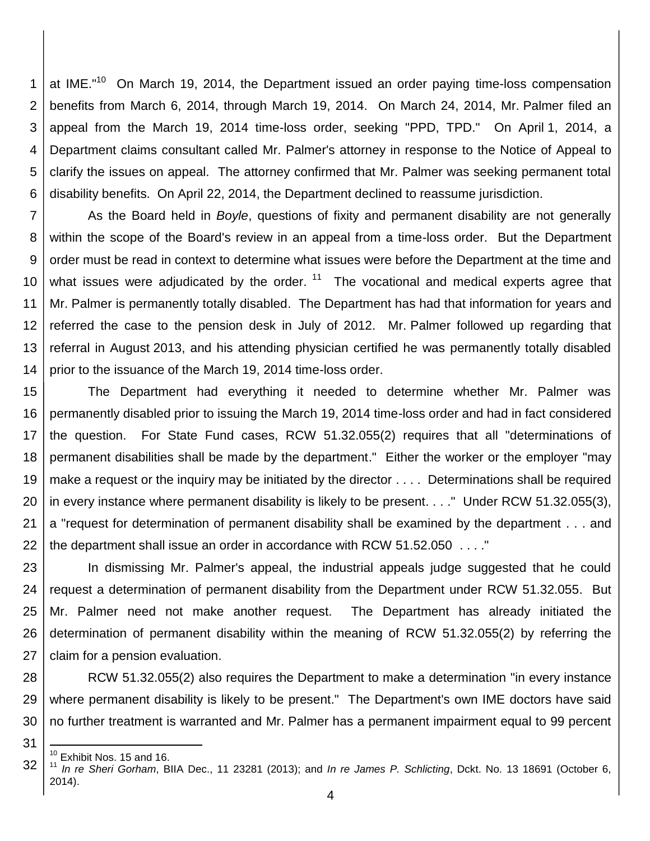1 2 3 4 5 6 at IME."<sup>10</sup> On March 19, 2014, the Department issued an order paying time-loss compensation benefits from March 6, 2014, through March 19, 2014. On March 24, 2014, Mr. Palmer filed an appeal from the March 19, 2014 time-loss order, seeking "PPD, TPD." On April 1, 2014, a Department claims consultant called Mr. Palmer's attorney in response to the Notice of Appeal to clarify the issues on appeal. The attorney confirmed that Mr. Palmer was seeking permanent total disability benefits. On April 22, 2014, the Department declined to reassume jurisdiction.

7 8 9 10 11 12 13 14 As the Board held in *Boyle*, questions of fixity and permanent disability are not generally within the scope of the Board's review in an appeal from a time-loss order. But the Department order must be read in context to determine what issues were before the Department at the time and what issues were adjudicated by the order.  $11$  The vocational and medical experts agree that Mr. Palmer is permanently totally disabled. The Department has had that information for years and referred the case to the pension desk in July of 2012. Mr. Palmer followed up regarding that referral in August 2013, and his attending physician certified he was permanently totally disabled prior to the issuance of the March 19, 2014 time-loss order.

15 16 17 18 19 20 21 22 The Department had everything it needed to determine whether Mr. Palmer was permanently disabled prior to issuing the March 19, 2014 time-loss order and had in fact considered the question. For State Fund cases, RCW 51.32.055(2) requires that all "determinations of permanent disabilities shall be made by the department." Either the worker or the employer "may make a request or the inquiry may be initiated by the director . . . . Determinations shall be required in every instance where permanent disability is likely to be present. . . ." Under RCW 51.32.055(3), a "request for determination of permanent disability shall be examined by the department . . . and the department shall issue an order in accordance with RCW 51.52.050 . . . ."

23 24 25 26 27 In dismissing Mr. Palmer's appeal, the industrial appeals judge suggested that he could request a determination of permanent disability from the Department under RCW 51.32.055. But Mr. Palmer need not make another request. The Department has already initiated the determination of permanent disability within the meaning of RCW 51.32.055(2) by referring the claim for a pension evaluation.

28 29 30 RCW 51.32.055(2) also requires the Department to make a determination "in every instance where permanent disability is likely to be present." The Department's own IME doctors have said no further treatment is warranted and Mr. Palmer has a permanent impairment equal to 99 percent

31

l

 $10$  Exhibit Nos. 15 and 16.

<sup>32</sup> <sup>11</sup> *In re Sheri Gorham*, BIIA Dec., 11 23281 (2013); and *In re James P. Schlicting*, Dckt. No. 13 18691 (October 6, 2014).